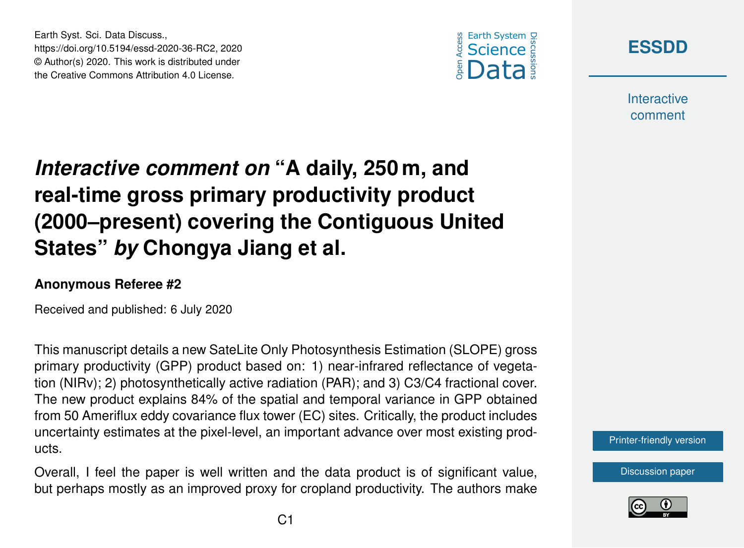

**[ESSDD](https://essd.copernicus.org/preprints/)**

**Interactive** comment

# *Interactive comment on* **"A daily, 250 m, and real-time gross primary productivity product (2000–present) covering the Contiguous United States"** *by* **Chongya Jiang et al.**

#### **Anonymous Referee #2**

Earth Syst. Sci. Data Discuss.,

https://doi.org/10.5194/essd-2020-36-RC2, 2020 © Author(s) 2020. This work is distributed under the Creative Commons Attribution 4.0 License.

Received and published: 6 July 2020

This manuscript details a new SateLite Only Photosynthesis Estimation (SLOPE) gross primary productivity (GPP) product based on: 1) near-infrared reflectance of vegetation (NIRv); 2) photosynthetically active radiation (PAR); and 3) C3/C4 fractional cover. The new product explains 84% of the spatial and temporal variance in GPP obtained from 50 Ameriflux eddy covariance flux tower (EC) sites. Critically, the product includes uncertainty estimates at the pixel-level, an important advance over most existing products.

Overall, I feel the paper is well written and the data product is of significant value, but perhaps mostly as an improved proxy for cropland productivity. The authors make [Printer-friendly version](https://essd.copernicus.org/preprints/essd-2020-36/essd-2020-36-RC2-print.pdf)

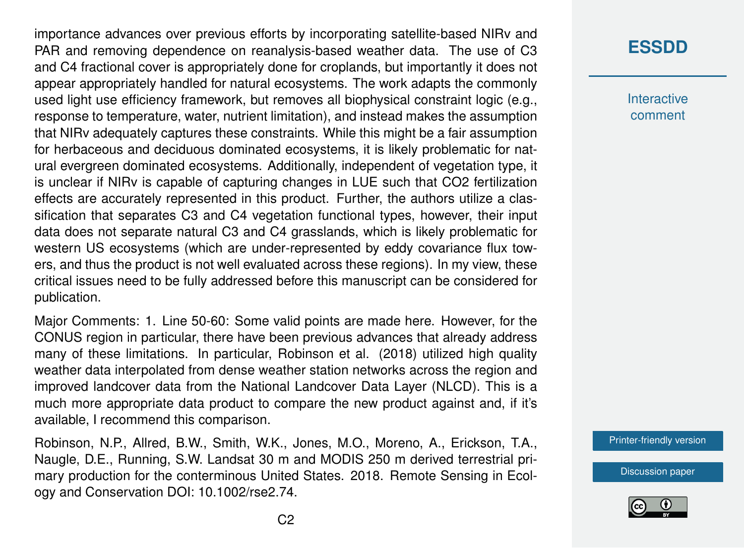importance advances over previous efforts by incorporating satellite-based NIRv and PAR and removing dependence on reanalysis-based weather data. The use of C3 and C4 fractional cover is appropriately done for croplands, but importantly it does not appear appropriately handled for natural ecosystems. The work adapts the commonly used light use efficiency framework, but removes all biophysical constraint logic (e.g., response to temperature, water, nutrient limitation), and instead makes the assumption that NIRv adequately captures these constraints. While this might be a fair assumption for herbaceous and deciduous dominated ecosystems, it is likely problematic for natural evergreen dominated ecosystems. Additionally, independent of vegetation type, it is unclear if NIRv is capable of capturing changes in LUE such that CO2 fertilization effects are accurately represented in this product. Further, the authors utilize a classification that separates C3 and C4 vegetation functional types, however, their input data does not separate natural C3 and C4 grasslands, which is likely problematic for western US ecosystems (which are under-represented by eddy covariance flux towers, and thus the product is not well evaluated across these regions). In my view, these critical issues need to be fully addressed before this manuscript can be considered for publication.

Major Comments: 1. Line 50-60: Some valid points are made here. However, for the CONUS region in particular, there have been previous advances that already address many of these limitations. In particular, Robinson et al. (2018) utilized high quality weather data interpolated from dense weather station networks across the region and improved landcover data from the National Landcover Data Layer (NLCD). This is a much more appropriate data product to compare the new product against and, if it's available, I recommend this comparison.

Robinson, N.P., Allred, B.W., Smith, W.K., Jones, M.O., Moreno, A., Erickson, T.A., Naugle, D.E., Running, S.W. Landsat 30 m and MODIS 250 m derived terrestrial primary production for the conterminous United States. 2018. Remote Sensing in Ecology and Conservation DOI: 10.1002/rse2.74.

# **[ESSDD](https://essd.copernicus.org/preprints/)**

**Interactive** comment

[Printer-friendly version](https://essd.copernicus.org/preprints/essd-2020-36/essd-2020-36-RC2-print.pdf)

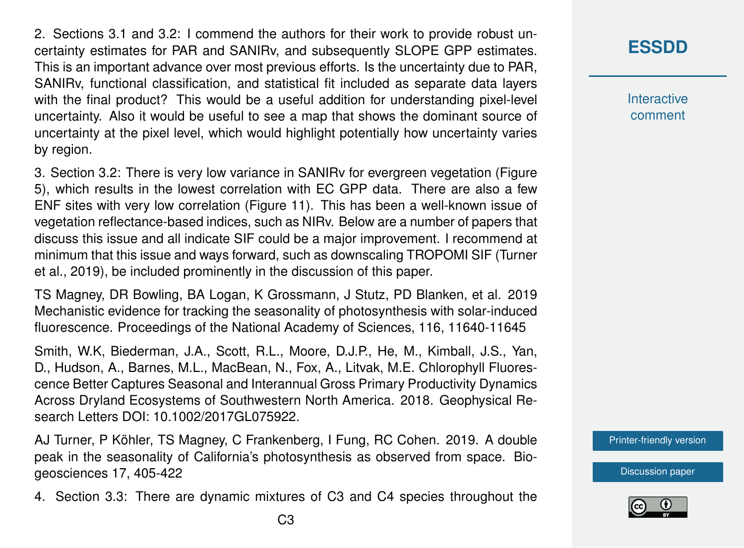2. Sections 3.1 and 3.2: I commend the authors for their work to provide robust uncertainty estimates for PAR and SANIRv, and subsequently SLOPE GPP estimates. This is an important advance over most previous efforts. Is the uncertainty due to PAR, SANIRv, functional classification, and statistical fit included as separate data layers with the final product? This would be a useful addition for understanding pixel-level uncertainty. Also it would be useful to see a map that shows the dominant source of uncertainty at the pixel level, which would highlight potentially how uncertainty varies by region.

3. Section 3.2: There is very low variance in SANIRv for evergreen vegetation (Figure 5), which results in the lowest correlation with EC GPP data. There are also a few ENF sites with very low correlation (Figure 11). This has been a well-known issue of vegetation reflectance-based indices, such as NIRv. Below are a number of papers that discuss this issue and all indicate SIF could be a major improvement. I recommend at minimum that this issue and ways forward, such as downscaling TROPOMI SIF (Turner et al., 2019), be included prominently in the discussion of this paper.

TS Magney, DR Bowling, BA Logan, K Grossmann, J Stutz, PD Blanken, et al. 2019 Mechanistic evidence for tracking the seasonality of photosynthesis with solar-induced fluorescence. Proceedings of the National Academy of Sciences, 116, 11640-11645

Smith, W.K, Biederman, J.A., Scott, R.L., Moore, D.J.P., He, M., Kimball, J.S., Yan, D., Hudson, A., Barnes, M.L., MacBean, N., Fox, A., Litvak, M.E. Chlorophyll Fluorescence Better Captures Seasonal and Interannual Gross Primary Productivity Dynamics Across Dryland Ecosystems of Southwestern North America. 2018. Geophysical Research Letters DOI: 10.1002/2017GL075922.

AJ Turner, P Köhler, TS Magney, C Frankenberg, I Fung, RC Cohen. 2019. A double peak in the seasonality of California's photosynthesis as observed from space. Biogeosciences 17, 405-422

4. Section 3.3: There are dynamic mixtures of C3 and C4 species throughout the

### **[ESSDD](https://essd.copernicus.org/preprints/)**

**Interactive** comment

[Printer-friendly version](https://essd.copernicus.org/preprints/essd-2020-36/essd-2020-36-RC2-print.pdf)

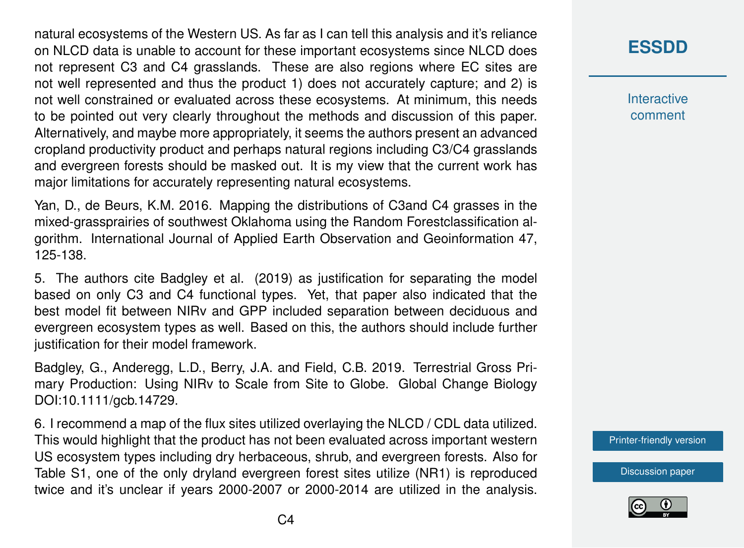natural ecosystems of the Western US. As far as I can tell this analysis and it's reliance on NLCD data is unable to account for these important ecosystems since NLCD does not represent C3 and C4 grasslands. These are also regions where EC sites are not well represented and thus the product 1) does not accurately capture; and 2) is not well constrained or evaluated across these ecosystems. At minimum, this needs to be pointed out very clearly throughout the methods and discussion of this paper. Alternatively, and maybe more appropriately, it seems the authors present an advanced cropland productivity product and perhaps natural regions including C3/C4 grasslands and evergreen forests should be masked out. It is my view that the current work has major limitations for accurately representing natural ecosystems.

Yan, D., de Beurs, K.M. 2016. Mapping the distributions of C3and C4 grasses in the mixed-grassprairies of southwest Oklahoma using the Random Forestclassification algorithm. International Journal of Applied Earth Observation and Geoinformation 47, 125-138.

5. The authors cite Badgley et al. (2019) as justification for separating the model based on only C3 and C4 functional types. Yet, that paper also indicated that the best model fit between NIRv and GPP included separation between deciduous and evergreen ecosystem types as well. Based on this, the authors should include further justification for their model framework.

Badgley, G., Anderegg, L.D., Berry, J.A. and Field, C.B. 2019. Terrestrial Gross Primary Production: Using NIRv to Scale from Site to Globe. Global Change Biology DOI:10.1111/gcb.14729.

6. I recommend a map of the flux sites utilized overlaying the NLCD / CDL data utilized. This would highlight that the product has not been evaluated across important western US ecosystem types including dry herbaceous, shrub, and evergreen forests. Also for Table S1, one of the only dryland evergreen forest sites utilize (NR1) is reproduced twice and it's unclear if years 2000-2007 or 2000-2014 are utilized in the analysis.

# **[ESSDD](https://essd.copernicus.org/preprints/)**

**Interactive** comment

[Printer-friendly version](https://essd.copernicus.org/preprints/essd-2020-36/essd-2020-36-RC2-print.pdf)